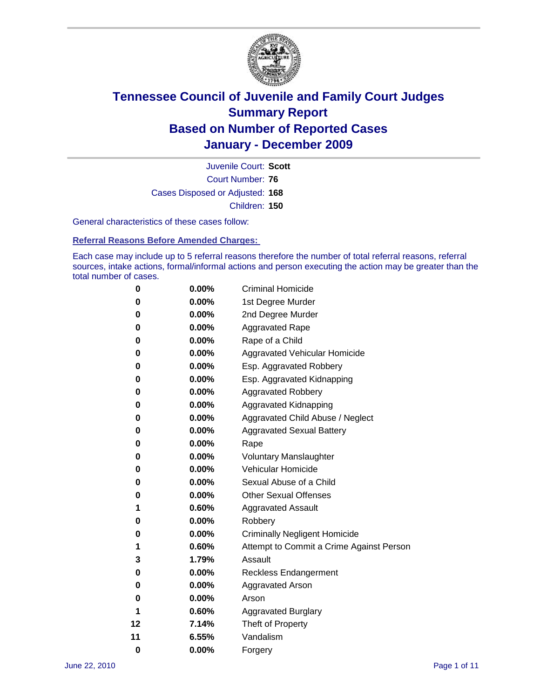

Court Number: **76** Juvenile Court: **Scott** Cases Disposed or Adjusted: **168** Children: **150**

General characteristics of these cases follow:

**Referral Reasons Before Amended Charges:** 

Each case may include up to 5 referral reasons therefore the number of total referral reasons, referral sources, intake actions, formal/informal actions and person executing the action may be greater than the total number of cases.

| 0  | 0.00%    | <b>Criminal Homicide</b>                 |
|----|----------|------------------------------------------|
| 0  | 0.00%    | 1st Degree Murder                        |
| 0  | 0.00%    | 2nd Degree Murder                        |
| 0  | 0.00%    | <b>Aggravated Rape</b>                   |
| 0  | 0.00%    | Rape of a Child                          |
| 0  | 0.00%    | Aggravated Vehicular Homicide            |
| 0  | 0.00%    | Esp. Aggravated Robbery                  |
| 0  | 0.00%    | Esp. Aggravated Kidnapping               |
| 0  | 0.00%    | <b>Aggravated Robbery</b>                |
| 0  | 0.00%    | Aggravated Kidnapping                    |
| 0  | 0.00%    | Aggravated Child Abuse / Neglect         |
| 0  | 0.00%    | <b>Aggravated Sexual Battery</b>         |
| 0  | 0.00%    | Rape                                     |
| 0  | $0.00\%$ | <b>Voluntary Manslaughter</b>            |
| 0  | 0.00%    | Vehicular Homicide                       |
| 0  | 0.00%    | Sexual Abuse of a Child                  |
| 0  | 0.00%    | <b>Other Sexual Offenses</b>             |
| 1  | 0.60%    | <b>Aggravated Assault</b>                |
| 0  | $0.00\%$ | Robbery                                  |
| 0  | 0.00%    | <b>Criminally Negligent Homicide</b>     |
| 1  | 0.60%    | Attempt to Commit a Crime Against Person |
| 3  | 1.79%    | Assault                                  |
| 0  | 0.00%    | <b>Reckless Endangerment</b>             |
| 0  | 0.00%    | <b>Aggravated Arson</b>                  |
| 0  | 0.00%    | Arson                                    |
| 1  | 0.60%    | <b>Aggravated Burglary</b>               |
| 12 | 7.14%    | Theft of Property                        |
| 11 | 6.55%    | Vandalism                                |
| 0  | 0.00%    | Forgery                                  |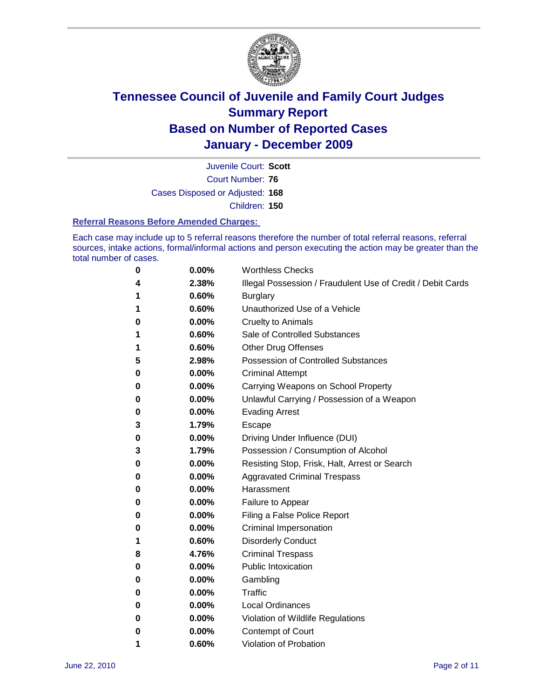

Court Number: **76** Juvenile Court: **Scott** Cases Disposed or Adjusted: **168** Children: **150**

#### **Referral Reasons Before Amended Charges:**

Each case may include up to 5 referral reasons therefore the number of total referral reasons, referral sources, intake actions, formal/informal actions and person executing the action may be greater than the total number of cases.

| 0 | 0.00%    | <b>Worthless Checks</b>                                     |
|---|----------|-------------------------------------------------------------|
| 4 | 2.38%    | Illegal Possession / Fraudulent Use of Credit / Debit Cards |
| 1 | 0.60%    | <b>Burglary</b>                                             |
| 1 | 0.60%    | Unauthorized Use of a Vehicle                               |
| 0 | $0.00\%$ | <b>Cruelty to Animals</b>                                   |
| 1 | 0.60%    | Sale of Controlled Substances                               |
| 1 | 0.60%    | <b>Other Drug Offenses</b>                                  |
| 5 | 2.98%    | <b>Possession of Controlled Substances</b>                  |
| 0 | 0.00%    | <b>Criminal Attempt</b>                                     |
| 0 | 0.00%    | Carrying Weapons on School Property                         |
| 0 | 0.00%    | Unlawful Carrying / Possession of a Weapon                  |
| 0 | $0.00\%$ | <b>Evading Arrest</b>                                       |
| 3 | 1.79%    | Escape                                                      |
| 0 | $0.00\%$ | Driving Under Influence (DUI)                               |
| 3 | 1.79%    | Possession / Consumption of Alcohol                         |
| 0 | $0.00\%$ | Resisting Stop, Frisk, Halt, Arrest or Search               |
| 0 | $0.00\%$ | <b>Aggravated Criminal Trespass</b>                         |
| 0 | $0.00\%$ | Harassment                                                  |
| 0 | 0.00%    | Failure to Appear                                           |
| 0 | $0.00\%$ | Filing a False Police Report                                |
| 0 | 0.00%    | <b>Criminal Impersonation</b>                               |
| 1 | 0.60%    | <b>Disorderly Conduct</b>                                   |
| 8 | 4.76%    | <b>Criminal Trespass</b>                                    |
| 0 | 0.00%    | <b>Public Intoxication</b>                                  |
| 0 | $0.00\%$ | Gambling                                                    |
| 0 | 0.00%    | Traffic                                                     |
| 0 | $0.00\%$ | <b>Local Ordinances</b>                                     |
| 0 | 0.00%    | Violation of Wildlife Regulations                           |
| 0 | $0.00\%$ | Contempt of Court                                           |
| 1 | 0.60%    | Violation of Probation                                      |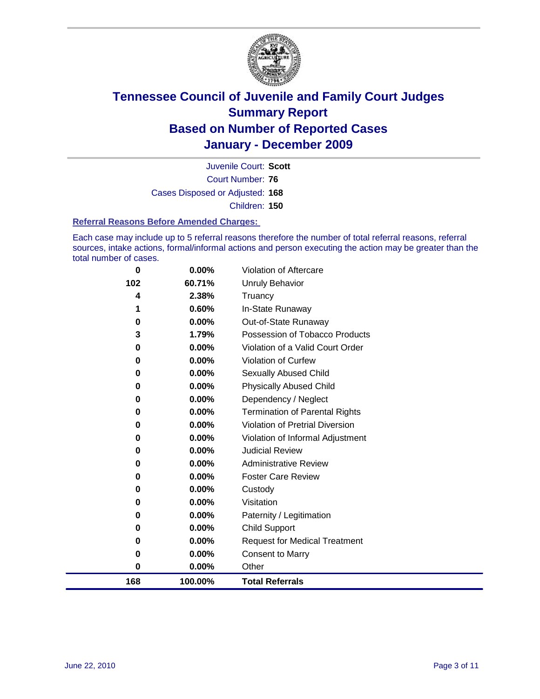

Court Number: **76** Juvenile Court: **Scott** Cases Disposed or Adjusted: **168** Children: **150**

#### **Referral Reasons Before Amended Charges:**

Each case may include up to 5 referral reasons therefore the number of total referral reasons, referral sources, intake actions, formal/informal actions and person executing the action may be greater than the total number of cases.

| 168 | 100.00% | <b>Total Referrals</b>                 |
|-----|---------|----------------------------------------|
| 0   | 0.00%   | Other                                  |
| 0   | 0.00%   | <b>Consent to Marry</b>                |
| 0   | 0.00%   | <b>Request for Medical Treatment</b>   |
| 0   | 0.00%   | <b>Child Support</b>                   |
| 0   | 0.00%   | Paternity / Legitimation               |
| 0   | 0.00%   | Visitation                             |
| 0   | 0.00%   | Custody                                |
| 0   | 0.00%   | <b>Foster Care Review</b>              |
| 0   | 0.00%   | <b>Administrative Review</b>           |
| 0   | 0.00%   | <b>Judicial Review</b>                 |
| 0   | 0.00%   | Violation of Informal Adjustment       |
| 0   | 0.00%   | <b>Violation of Pretrial Diversion</b> |
| 0   | 0.00%   | Termination of Parental Rights         |
| 0   | 0.00%   | Dependency / Neglect                   |
| 0   | 0.00%   | <b>Physically Abused Child</b>         |
| 0   | 0.00%   | Sexually Abused Child                  |
| 0   | 0.00%   | Violation of Curfew                    |
| 0   | 0.00%   | Violation of a Valid Court Order       |
| 3   | 1.79%   | Possession of Tobacco Products         |
| 0   | 0.00%   | Out-of-State Runaway                   |
| 1   | 0.60%   | In-State Runaway                       |
| 4   | 2.38%   | Truancy                                |
| 102 | 60.71%  | <b>Unruly Behavior</b>                 |
| 0   | 0.00%   | Violation of Aftercare                 |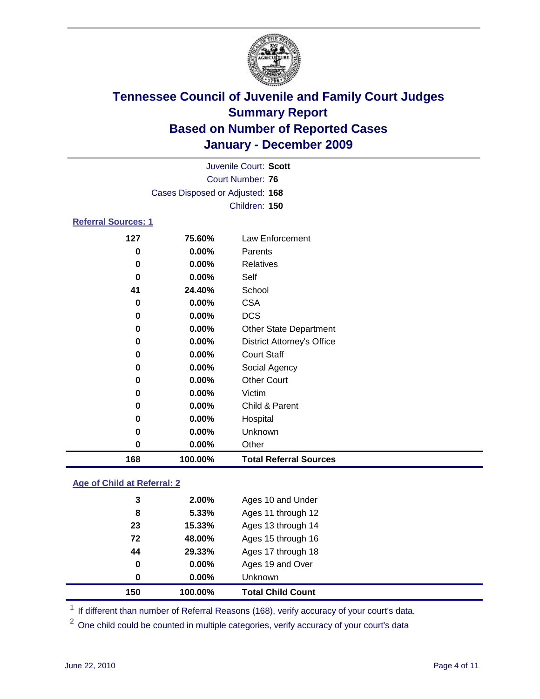

|                            | Juvenile Court: Scott           |                                   |  |  |
|----------------------------|---------------------------------|-----------------------------------|--|--|
|                            |                                 | <b>Court Number: 76</b>           |  |  |
|                            | Cases Disposed or Adjusted: 168 |                                   |  |  |
|                            |                                 | Children: 150                     |  |  |
| <b>Referral Sources: 1</b> |                                 |                                   |  |  |
| 127                        | 75.60%                          | Law Enforcement                   |  |  |
| 0                          | 0.00%                           | Parents                           |  |  |
| 0                          | 0.00%                           | <b>Relatives</b>                  |  |  |
| 0                          | 0.00%                           | Self                              |  |  |
| 41                         | 24.40%                          | School                            |  |  |
| 0                          | 0.00%                           | <b>CSA</b>                        |  |  |
| 0                          | 0.00%                           | <b>DCS</b>                        |  |  |
| 0                          | 0.00%                           | Other State Department            |  |  |
| 0                          | 0.00%                           | <b>District Attorney's Office</b> |  |  |
| 0                          | 0.00%                           | <b>Court Staff</b>                |  |  |
| 0                          | 0.00%                           | Social Agency                     |  |  |
| 0                          | 0.00%                           | <b>Other Court</b>                |  |  |
| 0                          | 0.00%                           | Victim                            |  |  |
| 0                          | 0.00%                           | Child & Parent                    |  |  |
| 0                          | 0.00%                           | Hospital                          |  |  |
| $\bf{0}$                   | 0.00%                           | Unknown                           |  |  |
| $\bf{0}$                   | 0.00%                           | Other                             |  |  |
| 168                        | 100.00%                         | <b>Total Referral Sources</b>     |  |  |

### **Age of Child at Referral: 2**

| 29.33%<br>0.00%<br>$0.00\%$ | Ages 17 through 18<br>Ages 19 and Over<br><b>Unknown</b> |
|-----------------------------|----------------------------------------------------------|
|                             |                                                          |
|                             |                                                          |
|                             |                                                          |
| 48.00%                      | Ages 15 through 16                                       |
| 15.33%                      | Ages 13 through 14                                       |
|                             | Ages 11 through 12                                       |
| 5.33%                       |                                                          |
|                             |                                                          |

<sup>1</sup> If different than number of Referral Reasons (168), verify accuracy of your court's data.

<sup>2</sup> One child could be counted in multiple categories, verify accuracy of your court's data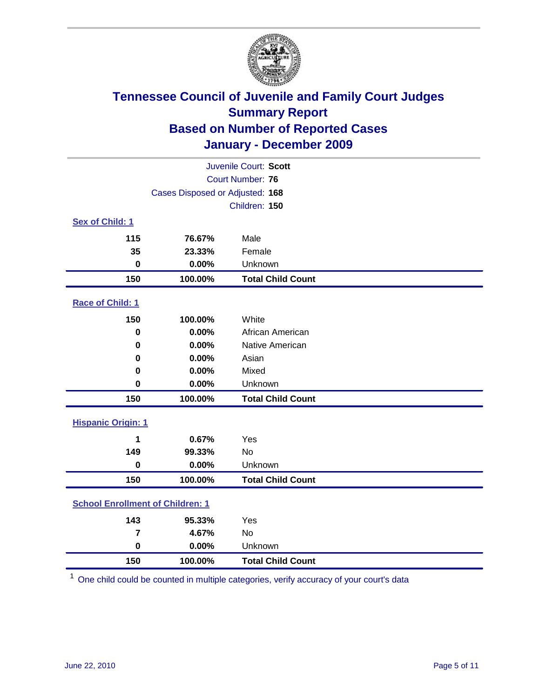

| Juvenile Court: Scott                   |                                 |                          |  |  |
|-----------------------------------------|---------------------------------|--------------------------|--|--|
| <b>Court Number: 76</b>                 |                                 |                          |  |  |
|                                         | Cases Disposed or Adjusted: 168 |                          |  |  |
|                                         |                                 | Children: 150            |  |  |
| Sex of Child: 1                         |                                 |                          |  |  |
| 115                                     | 76.67%                          | Male                     |  |  |
| 35                                      | 23.33%                          | Female                   |  |  |
| $\mathbf 0$                             | 0.00%                           | Unknown                  |  |  |
| 150                                     | 100.00%                         | <b>Total Child Count</b> |  |  |
| Race of Child: 1                        |                                 |                          |  |  |
| 150                                     | 100.00%                         | White                    |  |  |
| $\mathbf 0$                             | 0.00%                           | African American         |  |  |
| 0                                       | 0.00%                           | Native American          |  |  |
| 0                                       | 0.00%                           | Asian                    |  |  |
| 0                                       | 0.00%                           | Mixed                    |  |  |
| 0                                       | 0.00%                           | Unknown                  |  |  |
| 150                                     | 100.00%                         | <b>Total Child Count</b> |  |  |
| <b>Hispanic Origin: 1</b>               |                                 |                          |  |  |
| 1                                       | 0.67%                           | Yes                      |  |  |
| 149                                     | 99.33%                          | No                       |  |  |
| $\mathbf 0$                             | 0.00%                           | Unknown                  |  |  |
| 150                                     | 100.00%                         | <b>Total Child Count</b> |  |  |
| <b>School Enrollment of Children: 1</b> |                                 |                          |  |  |
| 143                                     | 95.33%                          | Yes                      |  |  |
| $\overline{7}$                          | 4.67%                           | No                       |  |  |
| $\mathbf 0$                             | 0.00%                           | Unknown                  |  |  |
| 150                                     | 100.00%                         | <b>Total Child Count</b> |  |  |

One child could be counted in multiple categories, verify accuracy of your court's data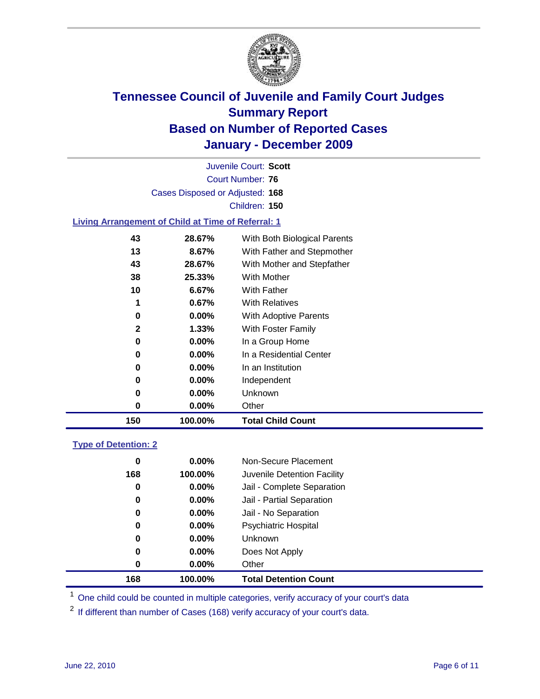

Court Number: **76** Juvenile Court: **Scott** Cases Disposed or Adjusted: **168** Children: **150**

#### **Living Arrangement of Child at Time of Referral: 1**

| 150          | 100.00%  | <b>Total Child Count</b>     |  |
|--------------|----------|------------------------------|--|
| 0            | $0.00\%$ | Other                        |  |
| 0            | $0.00\%$ | Unknown                      |  |
| 0            | $0.00\%$ | Independent                  |  |
| 0            | 0.00%    | In an Institution            |  |
| 0            | $0.00\%$ | In a Residential Center      |  |
| 0            | $0.00\%$ | In a Group Home              |  |
| $\mathbf{2}$ | 1.33%    | With Foster Family           |  |
| 0            | $0.00\%$ | With Adoptive Parents        |  |
| 1            | 0.67%    | <b>With Relatives</b>        |  |
| 10           | 6.67%    | With Father                  |  |
| 38           | 25.33%   | With Mother                  |  |
| 43           | 28.67%   | With Mother and Stepfather   |  |
| 13           | 8.67%    | With Father and Stepmother   |  |
| 43           | 28.67%   | With Both Biological Parents |  |
|              |          |                              |  |

#### **Type of Detention: 2**

| 168 | 100.00%  | <b>Total Detention Count</b> |  |
|-----|----------|------------------------------|--|
| 0   | $0.00\%$ | Other                        |  |
| 0   | $0.00\%$ | Does Not Apply               |  |
| 0   | $0.00\%$ | Unknown                      |  |
| 0   | $0.00\%$ | Psychiatric Hospital         |  |
| 0   | 0.00%    | Jail - No Separation         |  |
| 0   | $0.00\%$ | Jail - Partial Separation    |  |
| 0   | 0.00%    | Jail - Complete Separation   |  |
| 168 | 100.00%  | Juvenile Detention Facility  |  |
| 0   | $0.00\%$ | Non-Secure Placement         |  |
|     |          |                              |  |

<sup>1</sup> One child could be counted in multiple categories, verify accuracy of your court's data

<sup>2</sup> If different than number of Cases (168) verify accuracy of your court's data.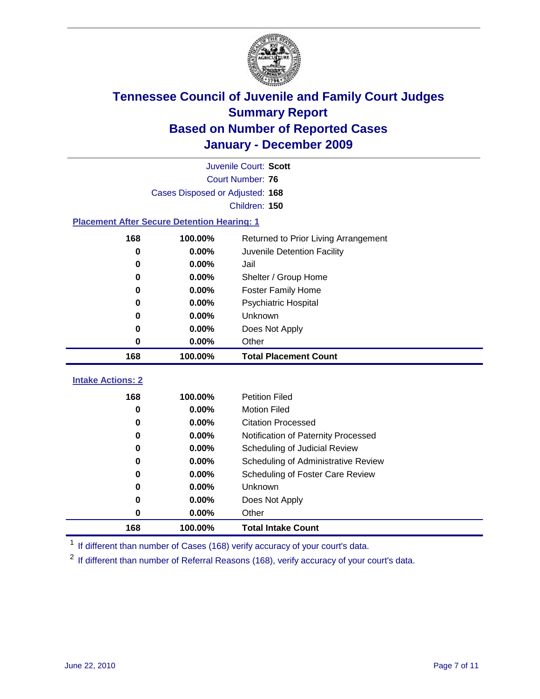

|                                                    | Juvenile Court: Scott           |                                         |  |  |  |  |
|----------------------------------------------------|---------------------------------|-----------------------------------------|--|--|--|--|
|                                                    |                                 | Court Number: 76                        |  |  |  |  |
|                                                    | Cases Disposed or Adjusted: 168 |                                         |  |  |  |  |
| Children: 150                                      |                                 |                                         |  |  |  |  |
| <b>Placement After Secure Detention Hearing: 1</b> |                                 |                                         |  |  |  |  |
| 168                                                | 100.00%                         | Returned to Prior Living Arrangement    |  |  |  |  |
| 0                                                  | 0.00%                           | Juvenile Detention Facility             |  |  |  |  |
| 0                                                  | 0.00%                           | Jail                                    |  |  |  |  |
| 0                                                  | 0.00%                           | Shelter / Group Home                    |  |  |  |  |
| 0                                                  | 0.00%                           | <b>Foster Family Home</b>               |  |  |  |  |
| 0                                                  | 0.00%                           | Psychiatric Hospital                    |  |  |  |  |
| 0                                                  | 0.00%                           | Unknown                                 |  |  |  |  |
| 0                                                  | 0.00%                           | Does Not Apply                          |  |  |  |  |
| 0                                                  | 0.00%                           | Other                                   |  |  |  |  |
| 168                                                | 100.00%                         | <b>Total Placement Count</b>            |  |  |  |  |
| <b>Intake Actions: 2</b>                           |                                 |                                         |  |  |  |  |
| 168                                                | 100.00%                         | <b>Petition Filed</b>                   |  |  |  |  |
| 0                                                  | 0.00%                           | <b>Motion Filed</b>                     |  |  |  |  |
| 0                                                  | 0.00%                           | <b>Citation Processed</b>               |  |  |  |  |
| 0                                                  | 0.00%                           | Notification of Paternity Processed     |  |  |  |  |
| 0                                                  | 0.00%                           | Scheduling of Judicial Review           |  |  |  |  |
| 0                                                  | 0.00%                           | Scheduling of Administrative Review     |  |  |  |  |
| 0                                                  | 0.00%                           | <b>Scheduling of Foster Care Review</b> |  |  |  |  |

 **0.00%** Unknown **0.00%** Does Not Apply **0.00%** Other

**100.00% Total Intake Count**

<sup>1</sup> If different than number of Cases (168) verify accuracy of your court's data.

<sup>2</sup> If different than number of Referral Reasons (168), verify accuracy of your court's data.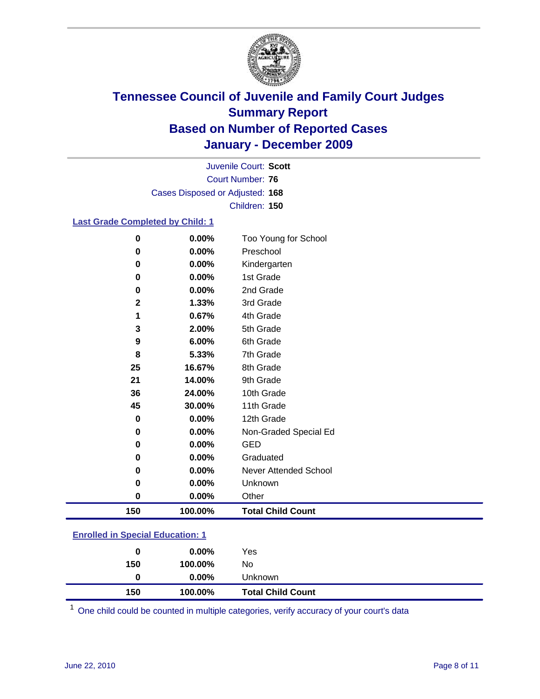

Court Number: **76** Juvenile Court: **Scott** Cases Disposed or Adjusted: **168** Children: **150**

#### **Last Grade Completed by Child: 1**

| 0                | 0.00%    | Too Young for School         |
|------------------|----------|------------------------------|
| 0                | 0.00%    | Preschool                    |
| 0                | $0.00\%$ | Kindergarten                 |
| 0                | 0.00%    | 1st Grade                    |
| 0                | 0.00%    | 2nd Grade                    |
| $\mathbf{2}$     | 1.33%    | 3rd Grade                    |
| 1                | 0.67%    | 4th Grade                    |
| 3                | 2.00%    | 5th Grade                    |
| 9                | 6.00%    | 6th Grade                    |
| 8                | 5.33%    | 7th Grade                    |
| 25               | 16.67%   | 8th Grade                    |
| 21               | 14.00%   | 9th Grade                    |
| 36               | 24.00%   | 10th Grade                   |
| 45               | 30.00%   | 11th Grade                   |
| $\bf{0}$         | $0.00\%$ | 12th Grade                   |
| 0                | $0.00\%$ | Non-Graded Special Ed        |
| 0                | 0.00%    | <b>GED</b>                   |
| 0                | 0.00%    | Graduated                    |
| 0                | $0.00\%$ | <b>Never Attended School</b> |
| 0                | $0.00\%$ | Unknown                      |
| $\boldsymbol{0}$ | 0.00%    | Other                        |
| 150              | 100.00%  | <b>Total Child Count</b>     |
|                  |          |                              |

### **Enrolled in Special Education: 1**

| 0   | $0.00\%$ | Yes                      |
|-----|----------|--------------------------|
| 150 | 100.00%  | No                       |
| 0   | $0.00\%$ | Unknown                  |
| 150 | 100.00%  | <b>Total Child Count</b> |

One child could be counted in multiple categories, verify accuracy of your court's data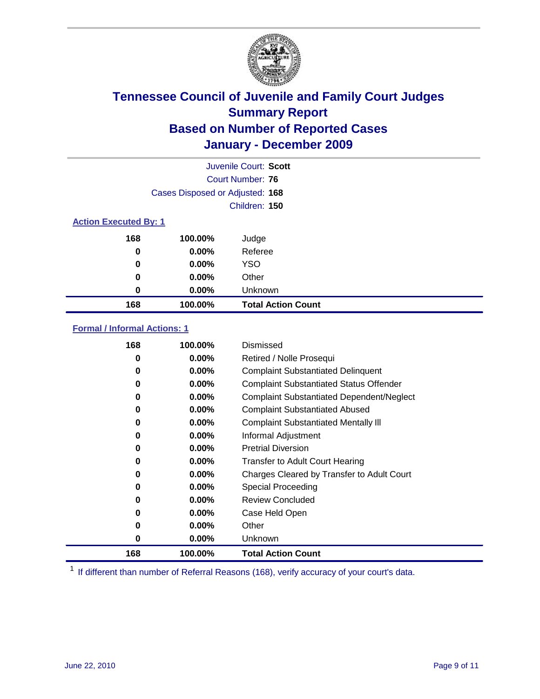

|     | Juvenile Court: Scott           |                           |  |  |  |
|-----|---------------------------------|---------------------------|--|--|--|
|     |                                 | Court Number: 76          |  |  |  |
|     | Cases Disposed or Adjusted: 168 |                           |  |  |  |
|     | Children: 150                   |                           |  |  |  |
|     | <b>Action Executed By: 1</b>    |                           |  |  |  |
| 168 | 100.00%                         | Judge                     |  |  |  |
| 0   | 0.00%                           | Referee                   |  |  |  |
| 0   | 0.00%                           | <b>YSO</b>                |  |  |  |
| 0   | 0.00%                           | Other                     |  |  |  |
| 0   | 0.00%                           | Unknown                   |  |  |  |
| 168 | 100.00%                         | <b>Total Action Count</b> |  |  |  |

#### **Formal / Informal Actions: 1**

| 168 | 100.00%  | Dismissed                                        |
|-----|----------|--------------------------------------------------|
| 0   | $0.00\%$ | Retired / Nolle Prosequi                         |
| 0   | $0.00\%$ | <b>Complaint Substantiated Delinquent</b>        |
| 0   | $0.00\%$ | <b>Complaint Substantiated Status Offender</b>   |
| 0   | $0.00\%$ | <b>Complaint Substantiated Dependent/Neglect</b> |
| 0   | $0.00\%$ | <b>Complaint Substantiated Abused</b>            |
| 0   | $0.00\%$ | <b>Complaint Substantiated Mentally III</b>      |
| 0   | $0.00\%$ | Informal Adjustment                              |
| 0   | $0.00\%$ | <b>Pretrial Diversion</b>                        |
| 0   | $0.00\%$ | <b>Transfer to Adult Court Hearing</b>           |
| 0   | $0.00\%$ | Charges Cleared by Transfer to Adult Court       |
| 0   | $0.00\%$ | Special Proceeding                               |
| 0   | $0.00\%$ | <b>Review Concluded</b>                          |
| 0   | $0.00\%$ | Case Held Open                                   |
| 0   | $0.00\%$ | Other                                            |
| 0   | $0.00\%$ | Unknown                                          |
| 168 | 100.00%  | <b>Total Action Count</b>                        |

<sup>1</sup> If different than number of Referral Reasons (168), verify accuracy of your court's data.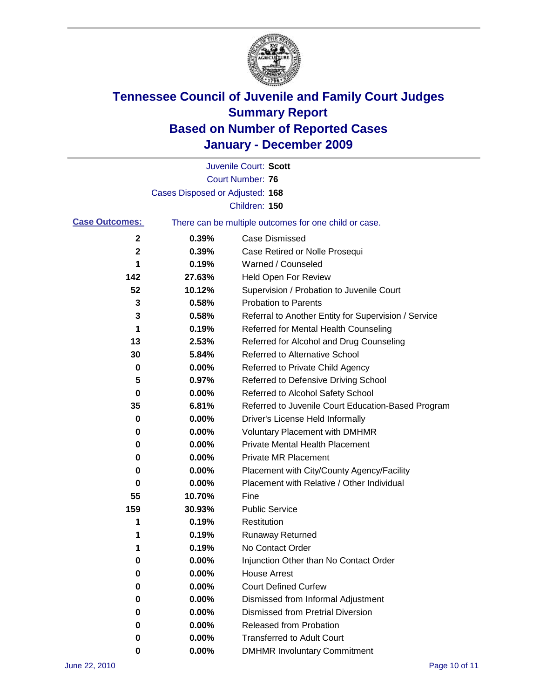

|                       |                                 | Juvenile Court: Scott                                 |
|-----------------------|---------------------------------|-------------------------------------------------------|
|                       |                                 | <b>Court Number: 76</b>                               |
|                       | Cases Disposed or Adjusted: 168 |                                                       |
|                       |                                 | Children: 150                                         |
| <b>Case Outcomes:</b> |                                 | There can be multiple outcomes for one child or case. |
| 2                     | 0.39%                           | <b>Case Dismissed</b>                                 |
| 2                     | 0.39%                           | Case Retired or Nolle Prosequi                        |
| 1                     | 0.19%                           | Warned / Counseled                                    |
| 142                   | 27.63%                          | Held Open For Review                                  |
| 52                    | 10.12%                          | Supervision / Probation to Juvenile Court             |
| 3                     | 0.58%                           | <b>Probation to Parents</b>                           |
| 3                     | 0.58%                           | Referral to Another Entity for Supervision / Service  |
| 1                     | 0.19%                           | Referred for Mental Health Counseling                 |
| 13                    | 2.53%                           | Referred for Alcohol and Drug Counseling              |
| 30                    | 5.84%                           | <b>Referred to Alternative School</b>                 |
| 0                     | 0.00%                           | Referred to Private Child Agency                      |
| 5                     | 0.97%                           | Referred to Defensive Driving School                  |
| 0                     | 0.00%                           | Referred to Alcohol Safety School                     |
| 35                    | 6.81%                           | Referred to Juvenile Court Education-Based Program    |
| 0                     | 0.00%                           | Driver's License Held Informally                      |
| 0                     | 0.00%                           | <b>Voluntary Placement with DMHMR</b>                 |
| 0                     | 0.00%                           | <b>Private Mental Health Placement</b>                |
| 0                     | 0.00%                           | <b>Private MR Placement</b>                           |
| 0                     | 0.00%                           | Placement with City/County Agency/Facility            |
| 0                     | 0.00%                           | Placement with Relative / Other Individual            |
| 55                    | 10.70%                          | Fine                                                  |
| 159                   | 30.93%                          | <b>Public Service</b>                                 |
| 1                     | 0.19%                           | Restitution                                           |
| 1                     | 0.19%                           | Runaway Returned                                      |
| 1                     | 0.19%                           | No Contact Order                                      |
| U                     | 0.00%                           | Injunction Other than No Contact Order                |
| 0                     | 0.00%                           | <b>House Arrest</b>                                   |
| 0                     | 0.00%                           | <b>Court Defined Curfew</b>                           |
| 0                     | 0.00%                           | Dismissed from Informal Adjustment                    |
| 0                     | 0.00%                           | <b>Dismissed from Pretrial Diversion</b>              |
| 0                     | 0.00%                           | Released from Probation                               |
| 0                     | 0.00%                           | <b>Transferred to Adult Court</b>                     |
| 0                     | 0.00%                           | <b>DMHMR Involuntary Commitment</b>                   |